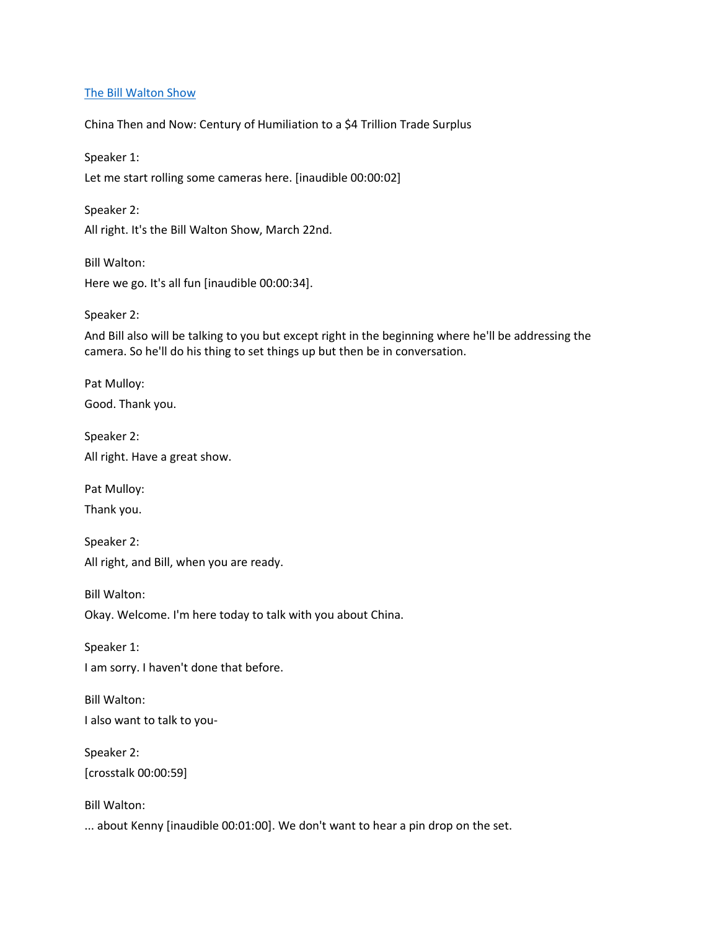### [The Bill Walton Show](https://thebillwaltonshow.com/)

China Then and Now: Century of Humiliation to a \$4 Trillion Trade Surplus

Speaker 1: Let me start rolling some cameras here. [inaudible 00:00:02]

Speaker 2: All right. It's the Bill Walton Show, March 22nd.

Bill Walton: Here we go. It's all fun [inaudible 00:00:34].

Speaker 2:

And Bill also will be talking to you but except right in the beginning where he'll be addressing the camera. So he'll do his thing to set things up but then be in conversation.

Pat Mulloy: Good. Thank you.

Speaker 2: All right. Have a great show.

Pat Mulloy:

Thank you.

Speaker 2: All right, and Bill, when you are ready.

Bill Walton:

Okay. Welcome. I'm here today to talk with you about China.

Speaker 1: I am sorry. I haven't done that before.

Bill Walton:

I also want to talk to you-

Speaker 2: [crosstalk 00:00:59]

Bill Walton:

... about Kenny [inaudible 00:01:00]. We don't want to hear a pin drop on the set.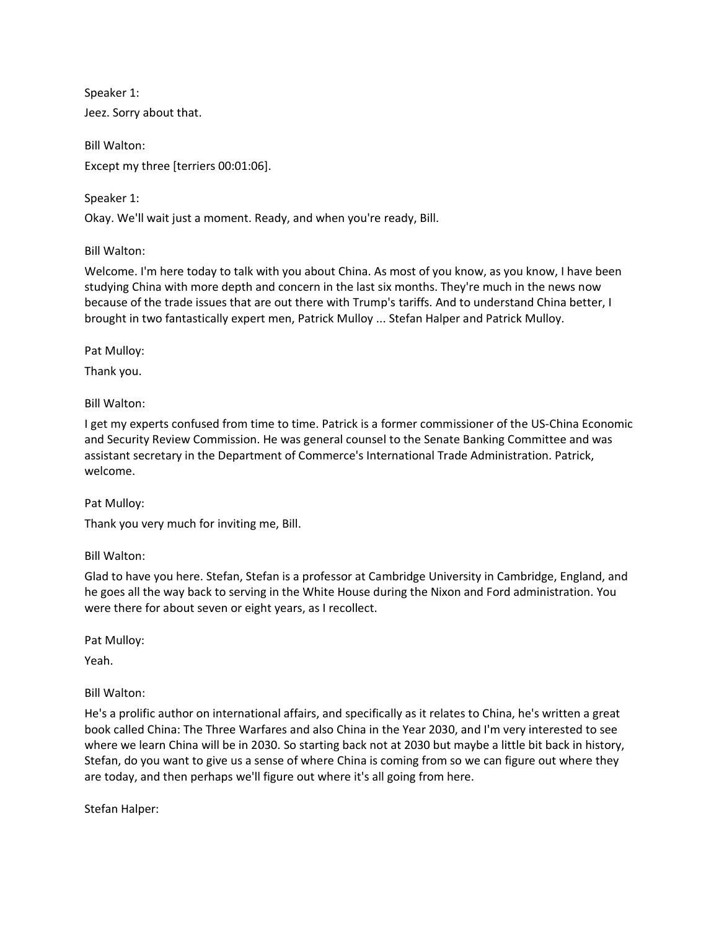Speaker 1: Jeez. Sorry about that.

Bill Walton: Except my three [terriers 00:01:06].

Speaker 1: Okay. We'll wait just a moment. Ready, and when you're ready, Bill.

Bill Walton:

Welcome. I'm here today to talk with you about China. As most of you know, as you know, I have been studying China with more depth and concern in the last six months. They're much in the news now because of the trade issues that are out there with Trump's tariffs. And to understand China better, I brought in two fantastically expert men, Patrick Mulloy ... Stefan Halper and Patrick Mulloy.

Pat Mulloy:

Thank you.

Bill Walton:

I get my experts confused from time to time. Patrick is a former commissioner of the US-China Economic and Security Review Commission. He was general counsel to the Senate Banking Committee and was assistant secretary in the Department of Commerce's International Trade Administration. Patrick, welcome.

Pat Mulloy:

Thank you very much for inviting me, Bill.

Bill Walton:

Glad to have you here. Stefan, Stefan is a professor at Cambridge University in Cambridge, England, and he goes all the way back to serving in the White House during the Nixon and Ford administration. You were there for about seven or eight years, as I recollect.

Pat Mulloy:

Yeah.

Bill Walton:

He's a prolific author on international affairs, and specifically as it relates to China, he's written a great book called China: The Three Warfares and also China in the Year 2030, and I'm very interested to see where we learn China will be in 2030. So starting back not at 2030 but maybe a little bit back in history, Stefan, do you want to give us a sense of where China is coming from so we can figure out where they are today, and then perhaps we'll figure out where it's all going from here.

Stefan Halper: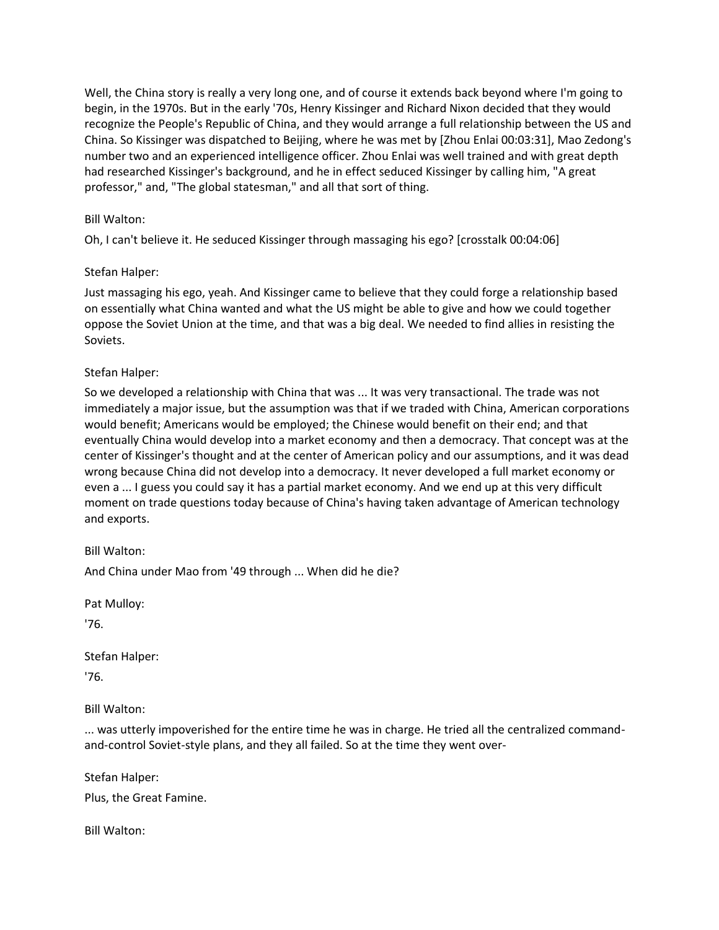Well, the China story is really a very long one, and of course it extends back beyond where I'm going to begin, in the 1970s. But in the early '70s, Henry Kissinger and Richard Nixon decided that they would recognize the People's Republic of China, and they would arrange a full relationship between the US and China. So Kissinger was dispatched to Beijing, where he was met by [Zhou Enlai 00:03:31], Mao Zedong's number two and an experienced intelligence officer. Zhou Enlai was well trained and with great depth had researched Kissinger's background, and he in effect seduced Kissinger by calling him, "A great professor," and, "The global statesman," and all that sort of thing.

# Bill Walton:

Oh, I can't believe it. He seduced Kissinger through massaging his ego? [crosstalk 00:04:06]

## Stefan Halper:

Just massaging his ego, yeah. And Kissinger came to believe that they could forge a relationship based on essentially what China wanted and what the US might be able to give and how we could together oppose the Soviet Union at the time, and that was a big deal. We needed to find allies in resisting the Soviets.

# Stefan Halper:

So we developed a relationship with China that was ... It was very transactional. The trade was not immediately a major issue, but the assumption was that if we traded with China, American corporations would benefit; Americans would be employed; the Chinese would benefit on their end; and that eventually China would develop into a market economy and then a democracy. That concept was at the center of Kissinger's thought and at the center of American policy and our assumptions, and it was dead wrong because China did not develop into a democracy. It never developed a full market economy or even a ... I guess you could say it has a partial market economy. And we end up at this very difficult moment on trade questions today because of China's having taken advantage of American technology and exports.

Bill Walton:

And China under Mao from '49 through ... When did he die?

Pat Mulloy:

'76.

Stefan Halper:

'76.

Bill Walton:

... was utterly impoverished for the entire time he was in charge. He tried all the centralized commandand-control Soviet-style plans, and they all failed. So at the time they went over-

Stefan Halper:

Plus, the Great Famine.

Bill Walton: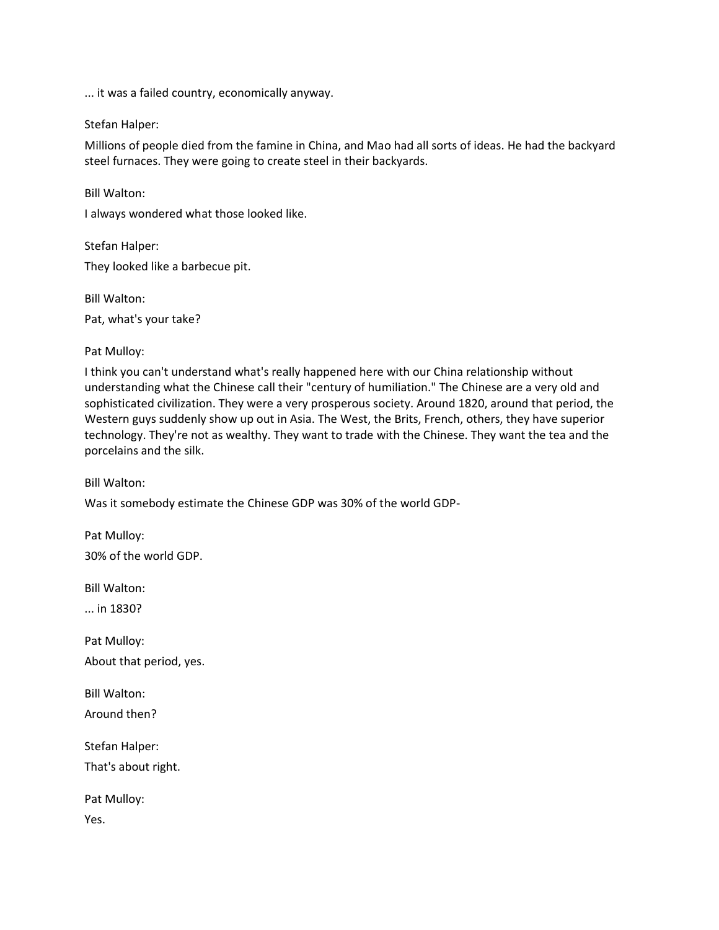... it was a failed country, economically anyway.

### Stefan Halper:

Bill Walton:

Millions of people died from the famine in China, and Mao had all sorts of ideas. He had the backyard steel furnaces. They were going to create steel in their backyards.

I always wondered what those looked like.

Stefan Halper: They looked like a barbecue pit.

Bill Walton: Pat, what's your take?

Pat Mulloy:

I think you can't understand what's really happened here with our China relationship without understanding what the Chinese call their "century of humiliation." The Chinese are a very old and sophisticated civilization. They were a very prosperous society. Around 1820, around that period, the Western guys suddenly show up out in Asia. The West, the Brits, French, others, they have superior technology. They're not as wealthy. They want to trade with the Chinese. They want the tea and the porcelains and the silk.

Bill Walton:

Was it somebody estimate the Chinese GDP was 30% of the world GDP-

Pat Mulloy: 30% of the world GDP.

Bill Walton:

... in 1830?

Pat Mulloy: About that period, yes.

Bill Walton:

Around then?

Stefan Halper:

That's about right.

Pat Mulloy:

Yes.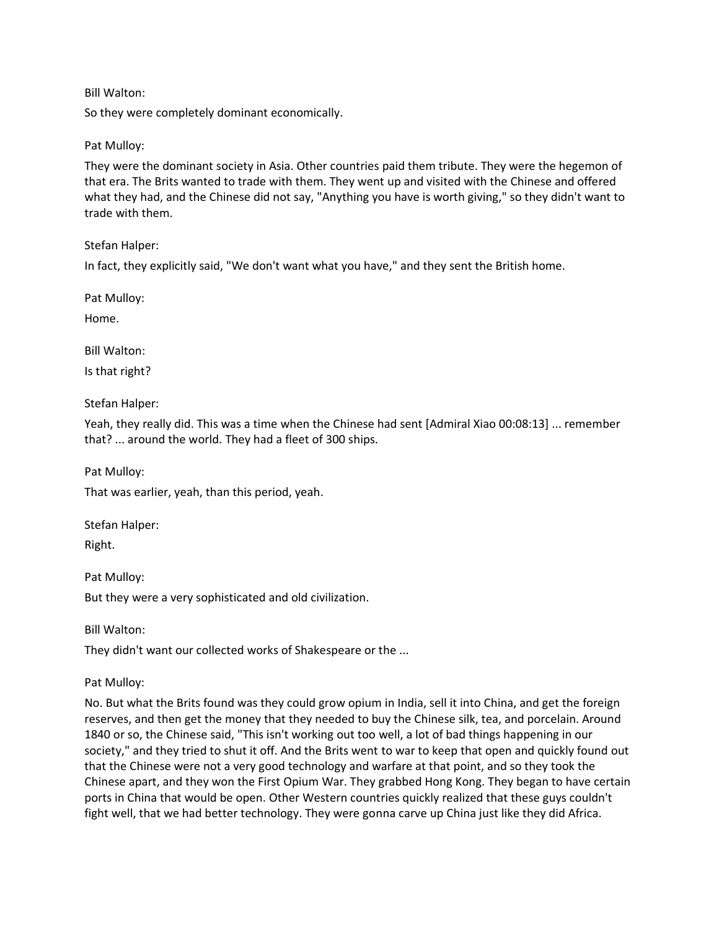## Bill Walton:

So they were completely dominant economically.

## Pat Mulloy:

They were the dominant society in Asia. Other countries paid them tribute. They were the hegemon of that era. The Brits wanted to trade with them. They went up and visited with the Chinese and offered what they had, and the Chinese did not say, "Anything you have is worth giving," so they didn't want to trade with them.

Stefan Halper:

In fact, they explicitly said, "We don't want what you have," and they sent the British home.

Pat Mulloy:

Home.

Bill Walton:

Is that right?

Stefan Halper:

Yeah, they really did. This was a time when the Chinese had sent [Admiral Xiao 00:08:13] ... remember that? ... around the world. They had a fleet of 300 ships.

Pat Mulloy:

That was earlier, yeah, than this period, yeah.

Stefan Halper:

Right.

Pat Mulloy:

But they were a very sophisticated and old civilization.

Bill Walton:

They didn't want our collected works of Shakespeare or the ...

Pat Mulloy:

No. But what the Brits found was they could grow opium in India, sell it into China, and get the foreign reserves, and then get the money that they needed to buy the Chinese silk, tea, and porcelain. Around 1840 or so, the Chinese said, "This isn't working out too well, a lot of bad things happening in our society," and they tried to shut it off. And the Brits went to war to keep that open and quickly found out that the Chinese were not a very good technology and warfare at that point, and so they took the Chinese apart, and they won the First Opium War. They grabbed Hong Kong. They began to have certain ports in China that would be open. Other Western countries quickly realized that these guys couldn't fight well, that we had better technology. They were gonna carve up China just like they did Africa.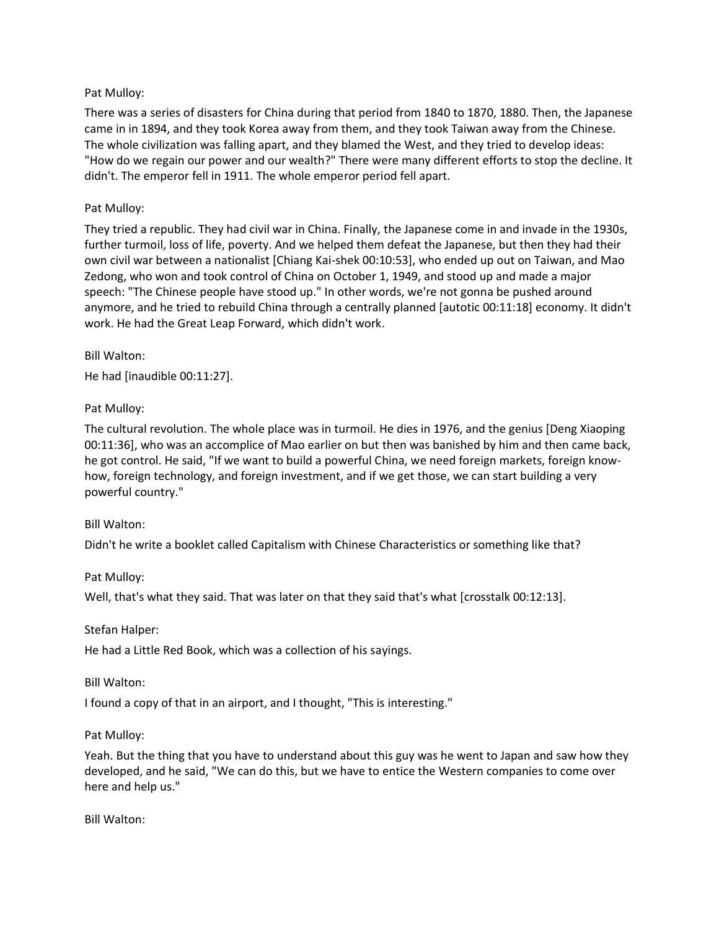# Pat Mulloy:

There was a series of disasters for China during that period from 1840 to 1870, 1880. Then, the Japanese came in in 1894, and they took Korea away from them, and they took Taiwan away from the Chinese. The whole civilization was falling apart, and they blamed the West, and they tried to develop ideas: "How do we regain our power and our wealth?" There were many different efforts to stop the decline. It didn't. The emperor fell in 1911. The whole emperor period fell apart.

## Pat Mulloy:

They tried a republic. They had civil war in China. Finally, the Japanese come in and invade in the 1930s, further turmoil, loss of life, poverty. And we helped them defeat the Japanese, but then they had their own civil war between a nationalist [Chiang Kai-shek 00:10:53], who ended up out on Taiwan, and Mao Zedong, who won and took control of China on October 1, 1949, and stood up and made a major speech: "The Chinese people have stood up." In other words, we're not gonna be pushed around anymore, and he tried to rebuild China through a centrally planned [autotic 00:11:18] economy. It didn't work. He had the Great Leap Forward, which didn't work.

## Bill Walton:

He had [inaudible 00:11:27].

# Pat Mulloy:

The cultural revolution. The whole place was in turmoil. He dies in 1976, and the genius [Deng Xiaoping 00:11:36], who was an accomplice of Mao earlier on but then was banished by him and then came back, he got control. He said, "If we want to build a powerful China, we need foreign markets, foreign knowhow, foreign technology, and foreign investment, and if we get those, we can start building a very powerful country."

## Bill Walton:

Didn't he write a booklet called Capitalism with Chinese Characteristics or something like that?

## Pat Mulloy:

Well, that's what they said. That was later on that they said that's what [crosstalk 00:12:13].

## Stefan Halper:

He had a Little Red Book, which was a collection of his sayings.

## Bill Walton:

I found a copy of that in an airport, and I thought, "This is interesting."

## Pat Mulloy:

Yeah. But the thing that you have to understand about this guy was he went to Japan and saw how they developed, and he said, "We can do this, but we have to entice the Western companies to come over here and help us."

Bill Walton: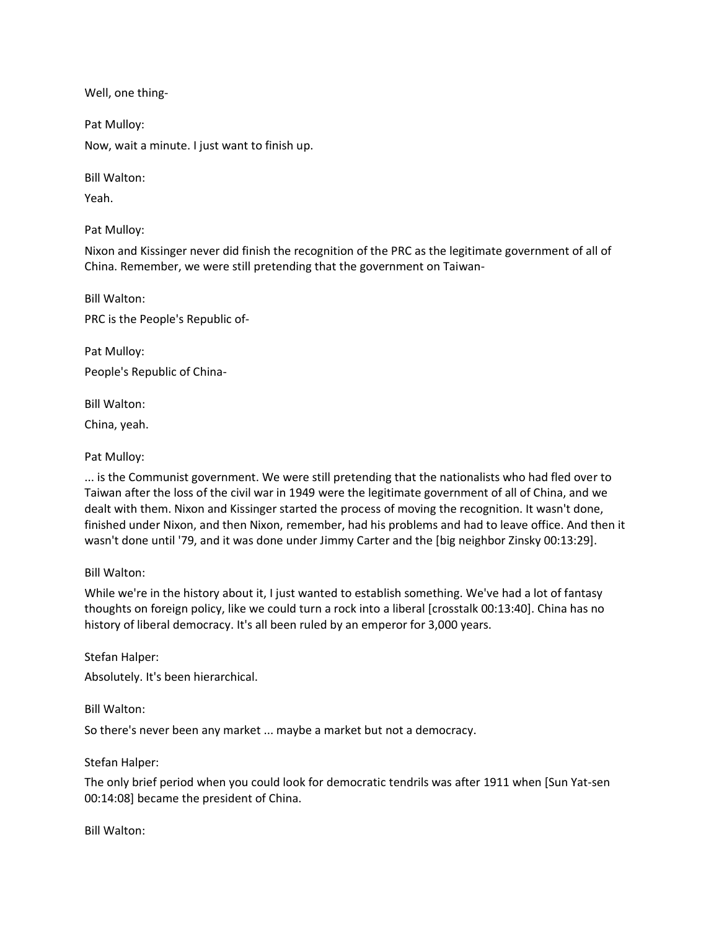Well, one thing-

Pat Mulloy: Now, wait a minute. I just want to finish up.

Bill Walton:

Yeah.

Pat Mulloy:

Nixon and Kissinger never did finish the recognition of the PRC as the legitimate government of all of China. Remember, we were still pretending that the government on Taiwan-

Bill Walton: PRC is the People's Republic of-

Pat Mulloy: People's Republic of China-

Bill Walton:

China, yeah.

# Pat Mulloy:

... is the Communist government. We were still pretending that the nationalists who had fled over to Taiwan after the loss of the civil war in 1949 were the legitimate government of all of China, and we dealt with them. Nixon and Kissinger started the process of moving the recognition. It wasn't done, finished under Nixon, and then Nixon, remember, had his problems and had to leave office. And then it wasn't done until '79, and it was done under Jimmy Carter and the [big neighbor Zinsky 00:13:29].

## Bill Walton:

While we're in the history about it, I just wanted to establish something. We've had a lot of fantasy thoughts on foreign policy, like we could turn a rock into a liberal [crosstalk 00:13:40]. China has no history of liberal democracy. It's all been ruled by an emperor for 3,000 years.

Stefan Halper:

Absolutely. It's been hierarchical.

Bill Walton:

So there's never been any market ... maybe a market but not a democracy.

## Stefan Halper:

The only brief period when you could look for democratic tendrils was after 1911 when [Sun Yat-sen 00:14:08] became the president of China.

Bill Walton: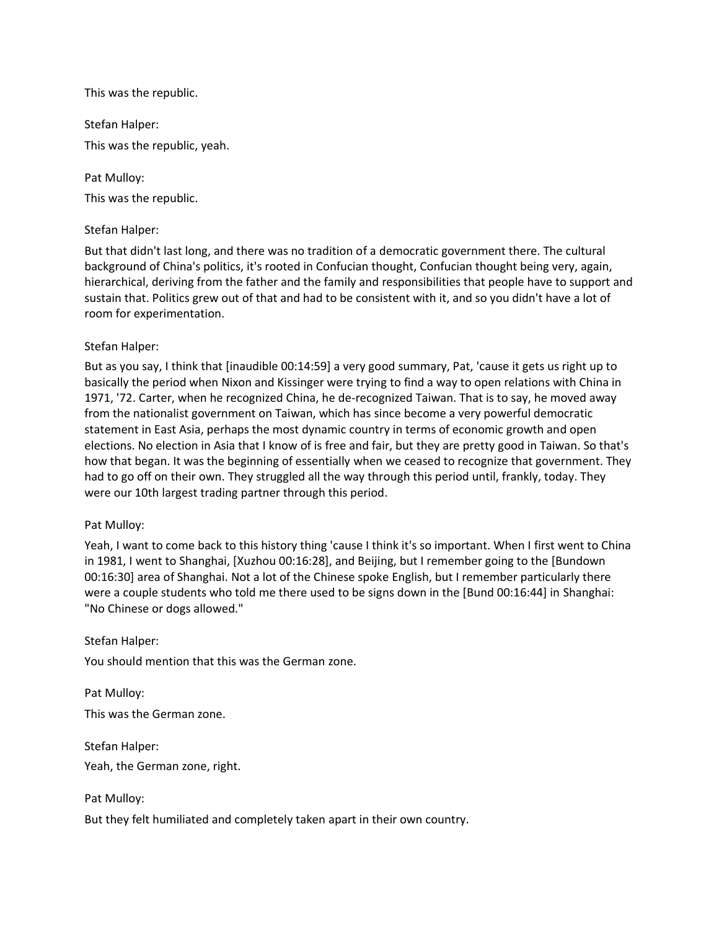This was the republic.

Stefan Halper:

This was the republic, yeah.

Pat Mulloy:

This was the republic.

## Stefan Halper:

But that didn't last long, and there was no tradition of a democratic government there. The cultural background of China's politics, it's rooted in Confucian thought, Confucian thought being very, again, hierarchical, deriving from the father and the family and responsibilities that people have to support and sustain that. Politics grew out of that and had to be consistent with it, and so you didn't have a lot of room for experimentation.

## Stefan Halper:

But as you say, I think that [inaudible 00:14:59] a very good summary, Pat, 'cause it gets us right up to basically the period when Nixon and Kissinger were trying to find a way to open relations with China in 1971, '72. Carter, when he recognized China, he de-recognized Taiwan. That is to say, he moved away from the nationalist government on Taiwan, which has since become a very powerful democratic statement in East Asia, perhaps the most dynamic country in terms of economic growth and open elections. No election in Asia that I know of is free and fair, but they are pretty good in Taiwan. So that's how that began. It was the beginning of essentially when we ceased to recognize that government. They had to go off on their own. They struggled all the way through this period until, frankly, today. They were our 10th largest trading partner through this period.

## Pat Mulloy:

Yeah, I want to come back to this history thing 'cause I think it's so important. When I first went to China in 1981, I went to Shanghai, [Xuzhou 00:16:28], and Beijing, but I remember going to the [Bundown 00:16:30] area of Shanghai. Not a lot of the Chinese spoke English, but I remember particularly there were a couple students who told me there used to be signs down in the [Bund 00:16:44] in Shanghai: "No Chinese or dogs allowed."

## Stefan Halper:

You should mention that this was the German zone.

Pat Mulloy: This was the German zone.

Stefan Halper: Yeah, the German zone, right.

Pat Mulloy:

But they felt humiliated and completely taken apart in their own country.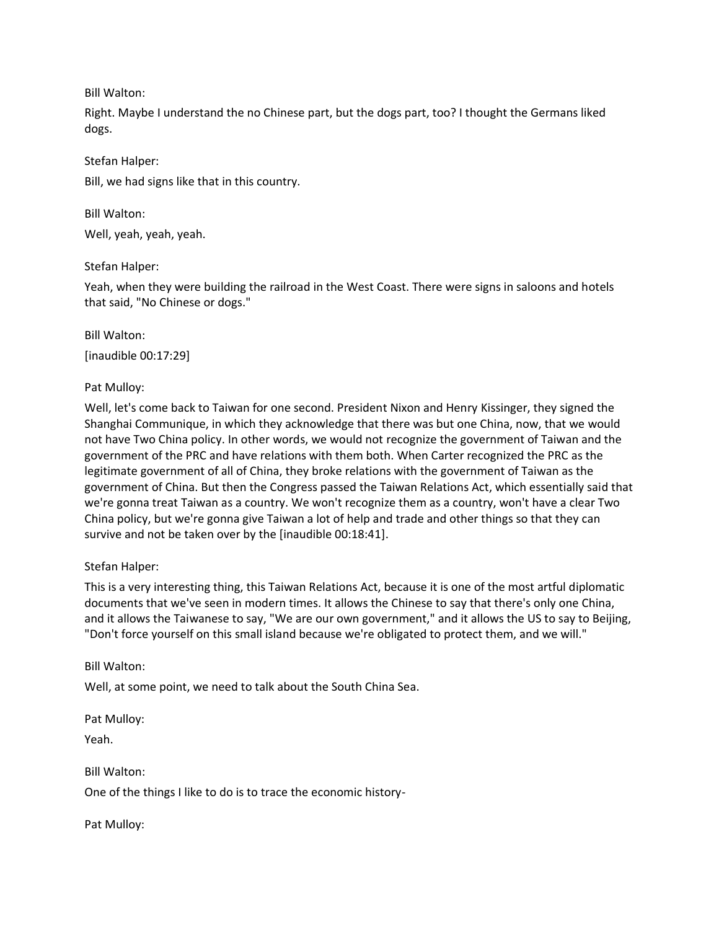Bill Walton:

Right. Maybe I understand the no Chinese part, but the dogs part, too? I thought the Germans liked dogs.

# Stefan Halper:

Bill, we had signs like that in this country.

Bill Walton:

Well, yeah, yeah, yeah.

Stefan Halper:

Yeah, when they were building the railroad in the West Coast. There were signs in saloons and hotels that said, "No Chinese or dogs."

Bill Walton:

[inaudible 00:17:29]

Pat Mulloy:

Well, let's come back to Taiwan for one second. President Nixon and Henry Kissinger, they signed the Shanghai Communique, in which they acknowledge that there was but one China, now, that we would not have Two China policy. In other words, we would not recognize the government of Taiwan and the government of the PRC and have relations with them both. When Carter recognized the PRC as the legitimate government of all of China, they broke relations with the government of Taiwan as the government of China. But then the Congress passed the Taiwan Relations Act, which essentially said that we're gonna treat Taiwan as a country. We won't recognize them as a country, won't have a clear Two China policy, but we're gonna give Taiwan a lot of help and trade and other things so that they can survive and not be taken over by the [inaudible 00:18:41].

# Stefan Halper:

This is a very interesting thing, this Taiwan Relations Act, because it is one of the most artful diplomatic documents that we've seen in modern times. It allows the Chinese to say that there's only one China, and it allows the Taiwanese to say, "We are our own government," and it allows the US to say to Beijing, "Don't force yourself on this small island because we're obligated to protect them, and we will."

# Bill Walton:

Well, at some point, we need to talk about the South China Sea.

Pat Mulloy:

Yeah.

Bill Walton: One of the things I like to do is to trace the economic history-

Pat Mulloy: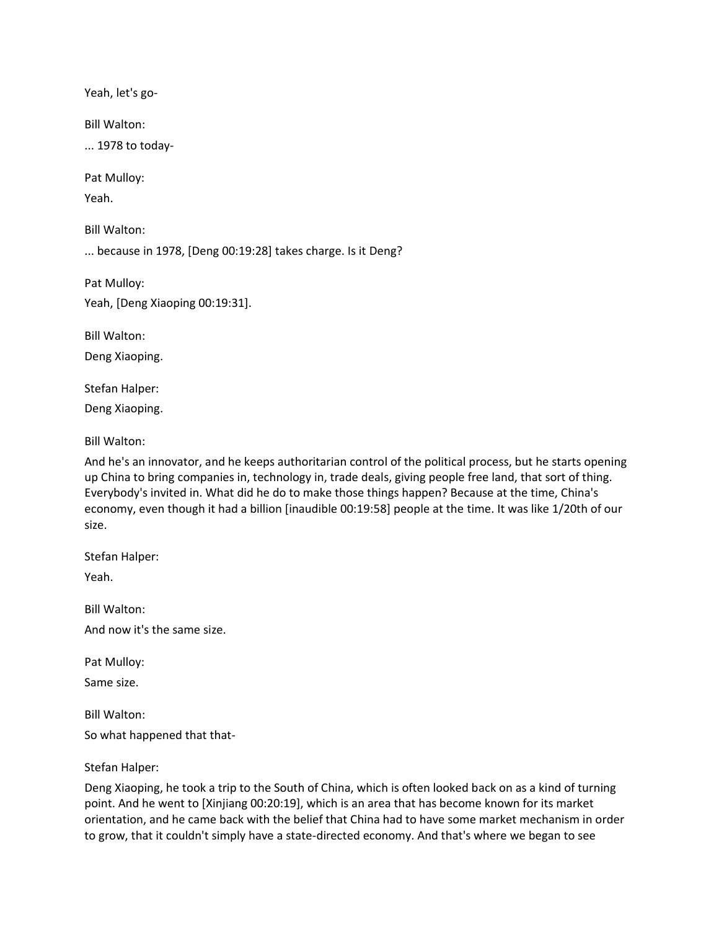Yeah, let's go-

Bill Walton:

... 1978 to today-

Pat Mulloy:

Yeah.

Bill Walton:

... because in 1978, [Deng 00:19:28] takes charge. Is it Deng?

Pat Mulloy:

Yeah, [Deng Xiaoping 00:19:31].

Bill Walton:

Deng Xiaoping.

Stefan Halper:

Deng Xiaoping.

Bill Walton:

And he's an innovator, and he keeps authoritarian control of the political process, but he starts opening up China to bring companies in, technology in, trade deals, giving people free land, that sort of thing. Everybody's invited in. What did he do to make those things happen? Because at the time, China's economy, even though it had a billion [inaudible 00:19:58] people at the time. It was like 1/20th of our size.

Stefan Halper:

Yeah.

Bill Walton: And now it's the same size.

Pat Mulloy:

Same size.

Bill Walton:

So what happened that that-

#### Stefan Halper:

Deng Xiaoping, he took a trip to the South of China, which is often looked back on as a kind of turning point. And he went to [Xinjiang 00:20:19], which is an area that has become known for its market orientation, and he came back with the belief that China had to have some market mechanism in order to grow, that it couldn't simply have a state-directed economy. And that's where we began to see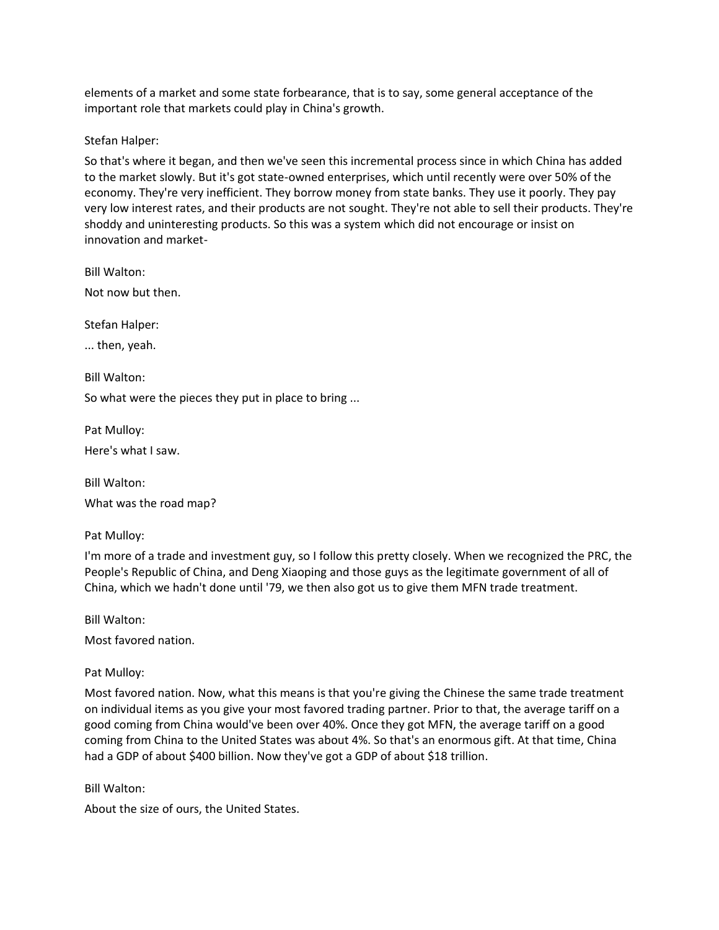elements of a market and some state forbearance, that is to say, some general acceptance of the important role that markets could play in China's growth.

Stefan Halper:

So that's where it began, and then we've seen this incremental process since in which China has added to the market slowly. But it's got state-owned enterprises, which until recently were over 50% of the economy. They're very inefficient. They borrow money from state banks. They use it poorly. They pay very low interest rates, and their products are not sought. They're not able to sell their products. They're shoddy and uninteresting products. So this was a system which did not encourage or insist on innovation and market-

Bill Walton: Not now but then.

Stefan Halper:

... then, yeah.

Bill Walton:

So what were the pieces they put in place to bring ...

Pat Mulloy: Here's what I saw.

Bill Walton:

What was the road map?

Pat Mulloy:

I'm more of a trade and investment guy, so I follow this pretty closely. When we recognized the PRC, the People's Republic of China, and Deng Xiaoping and those guys as the legitimate government of all of China, which we hadn't done until '79, we then also got us to give them MFN trade treatment.

Bill Walton:

Most favored nation.

Pat Mulloy:

Most favored nation. Now, what this means is that you're giving the Chinese the same trade treatment on individual items as you give your most favored trading partner. Prior to that, the average tariff on a good coming from China would've been over 40%. Once they got MFN, the average tariff on a good coming from China to the United States was about 4%. So that's an enormous gift. At that time, China had a GDP of about \$400 billion. Now they've got a GDP of about \$18 trillion.

Bill Walton:

About the size of ours, the United States.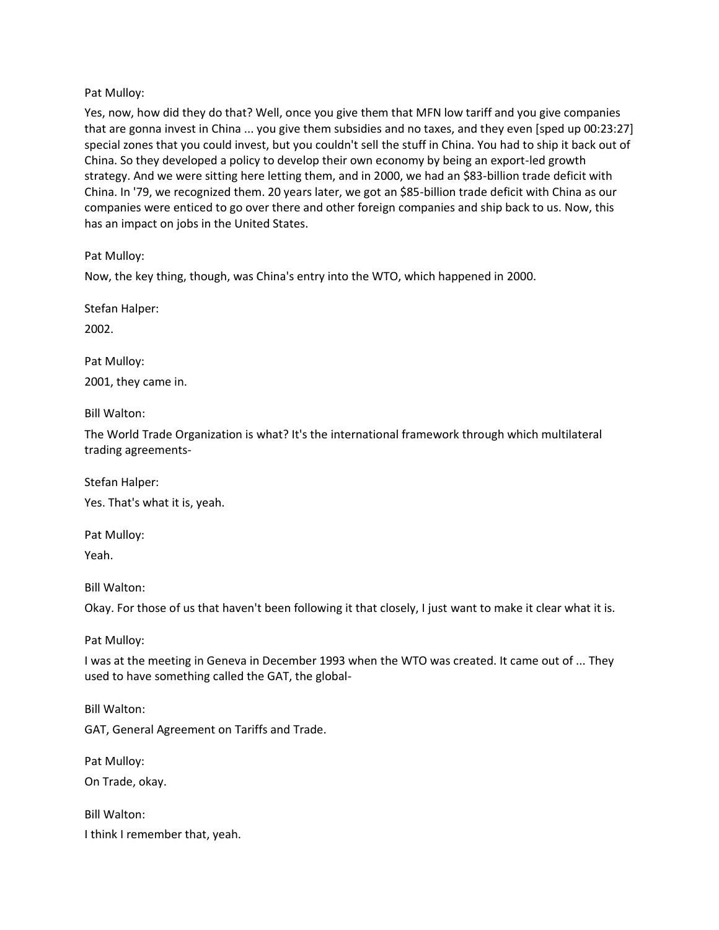### Pat Mulloy:

Yes, now, how did they do that? Well, once you give them that MFN low tariff and you give companies that are gonna invest in China ... you give them subsidies and no taxes, and they even [sped up 00:23:27] special zones that you could invest, but you couldn't sell the stuff in China. You had to ship it back out of China. So they developed a policy to develop their own economy by being an export-led growth strategy. And we were sitting here letting them, and in 2000, we had an \$83-billion trade deficit with China. In '79, we recognized them. 20 years later, we got an \$85-billion trade deficit with China as our companies were enticed to go over there and other foreign companies and ship back to us. Now, this has an impact on jobs in the United States.

Pat Mulloy:

Now, the key thing, though, was China's entry into the WTO, which happened in 2000.

Stefan Halper:

2002.

Pat Mulloy: 2001, they came in.

Bill Walton:

The World Trade Organization is what? It's the international framework through which multilateral trading agreements-

Stefan Halper: Yes. That's what it is, yeah.

Pat Mulloy:

Yeah.

Bill Walton:

Okay. For those of us that haven't been following it that closely, I just want to make it clear what it is.

Pat Mulloy:

I was at the meeting in Geneva in December 1993 when the WTO was created. It came out of ... They used to have something called the GAT, the global-

Bill Walton:

GAT, General Agreement on Tariffs and Trade.

Pat Mulloy:

On Trade, okay.

Bill Walton:

I think I remember that, yeah.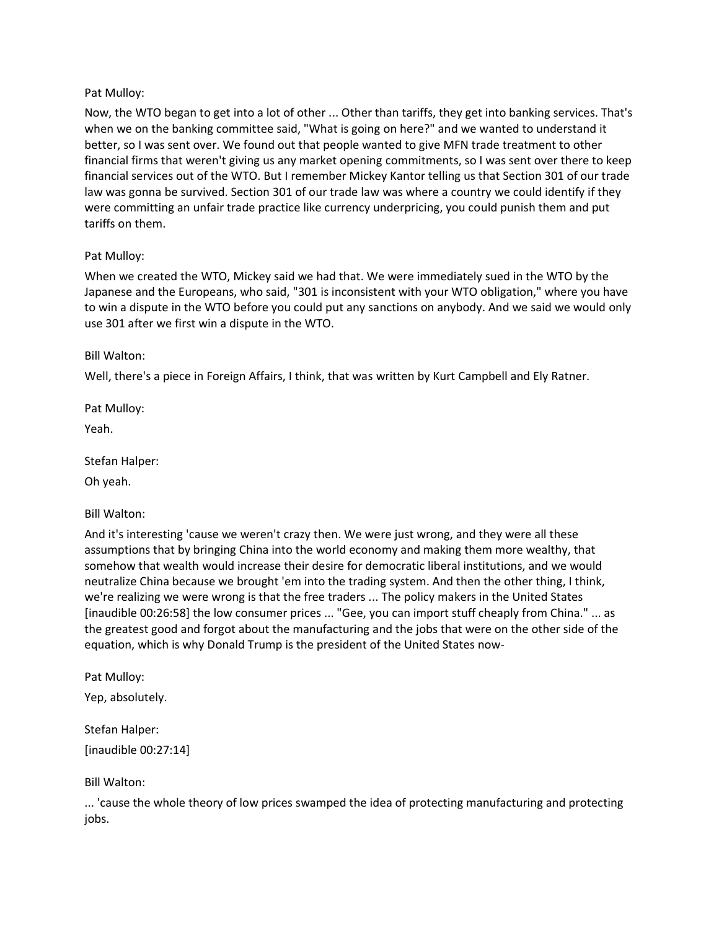## Pat Mulloy:

Now, the WTO began to get into a lot of other ... Other than tariffs, they get into banking services. That's when we on the banking committee said, "What is going on here?" and we wanted to understand it better, so I was sent over. We found out that people wanted to give MFN trade treatment to other financial firms that weren't giving us any market opening commitments, so I was sent over there to keep financial services out of the WTO. But I remember Mickey Kantor telling us that Section 301 of our trade law was gonna be survived. Section 301 of our trade law was where a country we could identify if they were committing an unfair trade practice like currency underpricing, you could punish them and put tariffs on them.

# Pat Mulloy:

When we created the WTO, Mickey said we had that. We were immediately sued in the WTO by the Japanese and the Europeans, who said, "301 is inconsistent with your WTO obligation," where you have to win a dispute in the WTO before you could put any sanctions on anybody. And we said we would only use 301 after we first win a dispute in the WTO.

# Bill Walton:

Well, there's a piece in Foreign Affairs, I think, that was written by Kurt Campbell and Ely Ratner.

Pat Mulloy:

Yeah.

Stefan Halper:

Oh yeah.

Bill Walton:

And it's interesting 'cause we weren't crazy then. We were just wrong, and they were all these assumptions that by bringing China into the world economy and making them more wealthy, that somehow that wealth would increase their desire for democratic liberal institutions, and we would neutralize China because we brought 'em into the trading system. And then the other thing, I think, we're realizing we were wrong is that the free traders ... The policy makers in the United States [inaudible 00:26:58] the low consumer prices ... "Gee, you can import stuff cheaply from China." ... as the greatest good and forgot about the manufacturing and the jobs that were on the other side of the equation, which is why Donald Trump is the president of the United States now-

Pat Mulloy:

Yep, absolutely.

Stefan Halper: [inaudible 00:27:14]

Bill Walton:

... 'cause the whole theory of low prices swamped the idea of protecting manufacturing and protecting jobs.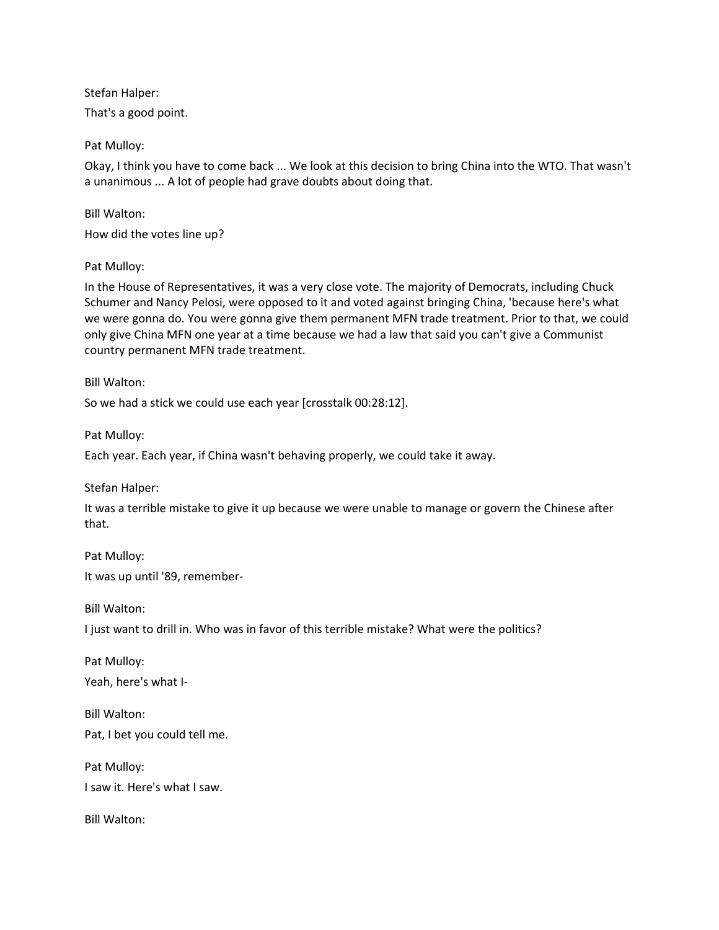Stefan Halper:

That's a good point.

Pat Mulloy:

Okay, I think you have to come back ... We look at this decision to bring China into the WTO. That wasn't a unanimous ... A lot of people had grave doubts about doing that.

Bill Walton:

How did the votes line up?

Pat Mulloy:

In the House of Representatives, it was a very close vote. The majority of Democrats, including Chuck Schumer and Nancy Pelosi, were opposed to it and voted against bringing China, 'because here's what we were gonna do. You were gonna give them permanent MFN trade treatment. Prior to that, we could only give China MFN one year at a time because we had a law that said you can't give a Communist country permanent MFN trade treatment.

Bill Walton:

So we had a stick we could use each year [crosstalk 00:28:12].

Pat Mulloy:

Each year. Each year, if China wasn't behaving properly, we could take it away.

Stefan Halper:

It was a terrible mistake to give it up because we were unable to manage or govern the Chinese after that.

Pat Mulloy: It was up until '89, remember-

Bill Walton:

I just want to drill in. Who was in favor of this terrible mistake? What were the politics?

Pat Mulloy: Yeah, here's what I-

Bill Walton: Pat, I bet you could tell me.

Pat Mulloy: I saw it. Here's what I saw.

Bill Walton: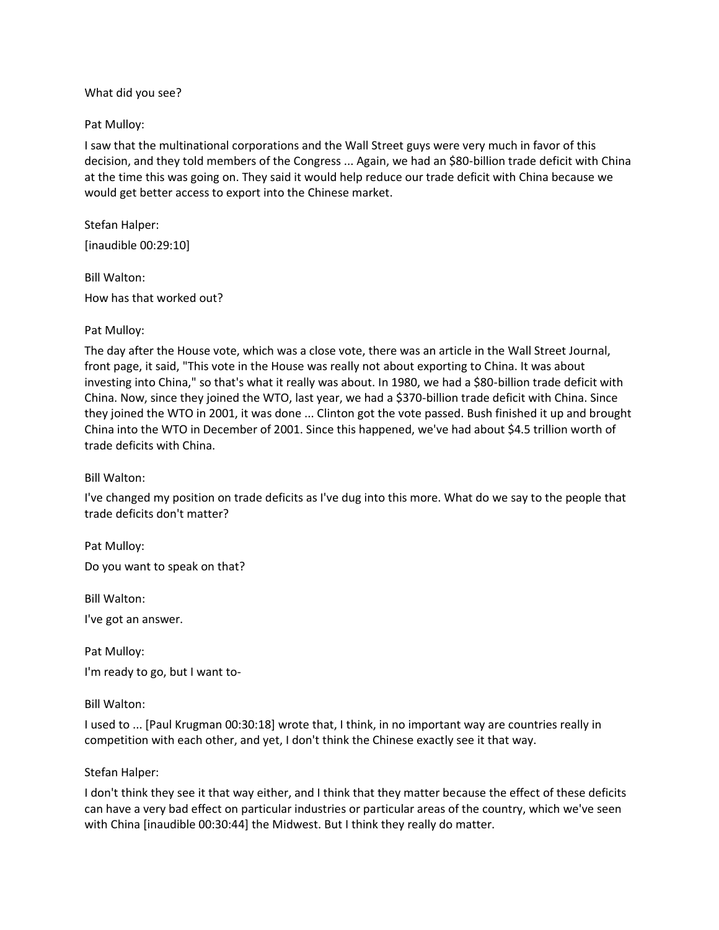What did you see?

### Pat Mulloy:

I saw that the multinational corporations and the Wall Street guys were very much in favor of this decision, and they told members of the Congress ... Again, we had an \$80-billion trade deficit with China at the time this was going on. They said it would help reduce our trade deficit with China because we would get better access to export into the Chinese market.

Stefan Halper: [inaudible 00:29:10]

Bill Walton: How has that worked out?

### Pat Mulloy:

The day after the House vote, which was a close vote, there was an article in the Wall Street Journal, front page, it said, "This vote in the House was really not about exporting to China. It was about investing into China," so that's what it really was about. In 1980, we had a \$80-billion trade deficit with China. Now, since they joined the WTO, last year, we had a \$370-billion trade deficit with China. Since they joined the WTO in 2001, it was done ... Clinton got the vote passed. Bush finished it up and brought China into the WTO in December of 2001. Since this happened, we've had about \$4.5 trillion worth of trade deficits with China.

Bill Walton:

I've changed my position on trade deficits as I've dug into this more. What do we say to the people that trade deficits don't matter?

Pat Mulloy: Do you want to speak on that?

Bill Walton:

I've got an answer.

Pat Mulloy:

I'm ready to go, but I want to-

Bill Walton:

I used to ... [Paul Krugman 00:30:18] wrote that, I think, in no important way are countries really in competition with each other, and yet, I don't think the Chinese exactly see it that way.

## Stefan Halper:

I don't think they see it that way either, and I think that they matter because the effect of these deficits can have a very bad effect on particular industries or particular areas of the country, which we've seen with China [inaudible 00:30:44] the Midwest. But I think they really do matter.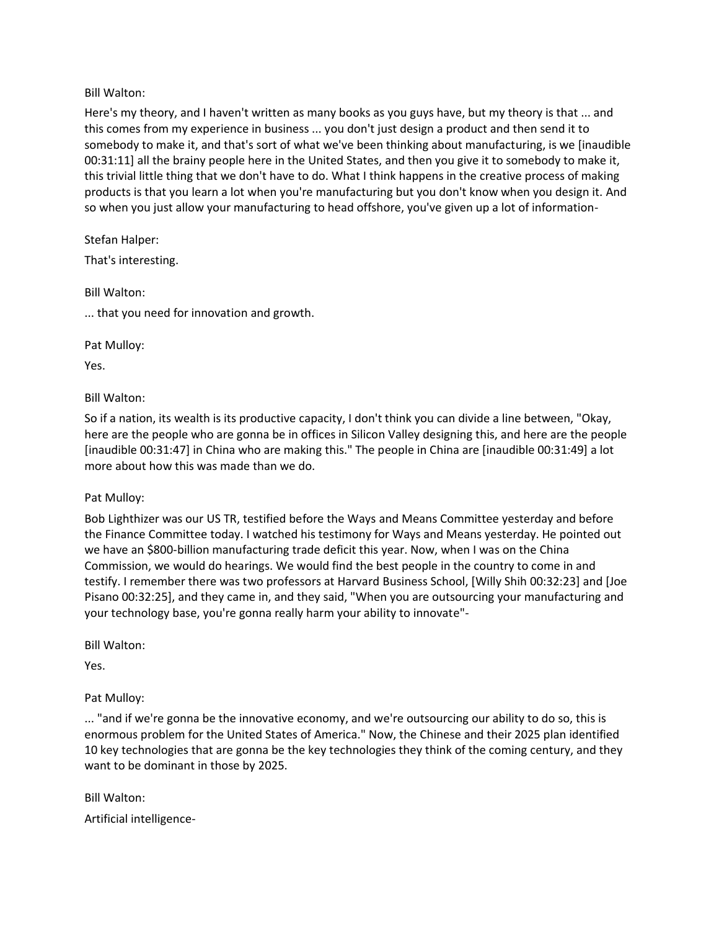Bill Walton:

Here's my theory, and I haven't written as many books as you guys have, but my theory is that ... and this comes from my experience in business ... you don't just design a product and then send it to somebody to make it, and that's sort of what we've been thinking about manufacturing, is we [inaudible 00:31:11] all the brainy people here in the United States, and then you give it to somebody to make it, this trivial little thing that we don't have to do. What I think happens in the creative process of making products is that you learn a lot when you're manufacturing but you don't know when you design it. And so when you just allow your manufacturing to head offshore, you've given up a lot of information-

Stefan Halper: That's interesting.

Bill Walton:

... that you need for innovation and growth.

Pat Mulloy:

Yes.

Bill Walton:

So if a nation, its wealth is its productive capacity, I don't think you can divide a line between, "Okay, here are the people who are gonna be in offices in Silicon Valley designing this, and here are the people [inaudible 00:31:47] in China who are making this." The people in China are [inaudible 00:31:49] a lot more about how this was made than we do.

Pat Mulloy:

Bob Lighthizer was our US TR, testified before the Ways and Means Committee yesterday and before the Finance Committee today. I watched his testimony for Ways and Means yesterday. He pointed out we have an \$800-billion manufacturing trade deficit this year. Now, when I was on the China Commission, we would do hearings. We would find the best people in the country to come in and testify. I remember there was two professors at Harvard Business School, [Willy Shih 00:32:23] and [Joe Pisano 00:32:25], and they came in, and they said, "When you are outsourcing your manufacturing and your technology base, you're gonna really harm your ability to innovate"-

Bill Walton:

Yes.

Pat Mulloy:

... "and if we're gonna be the innovative economy, and we're outsourcing our ability to do so, this is enormous problem for the United States of America." Now, the Chinese and their 2025 plan identified 10 key technologies that are gonna be the key technologies they think of the coming century, and they want to be dominant in those by 2025.

Bill Walton: Artificial intelligence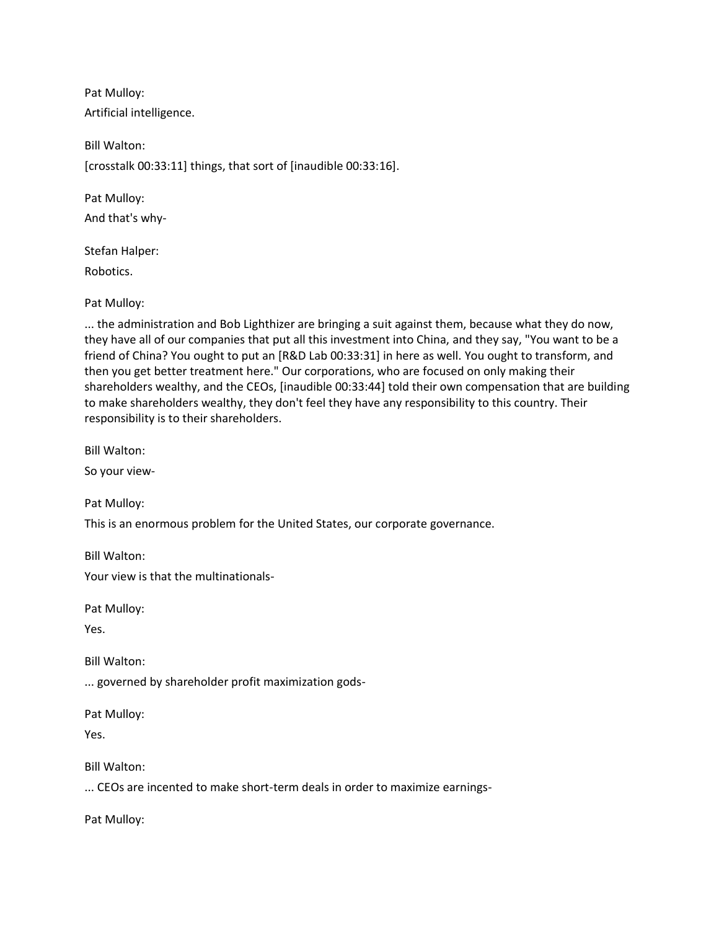Pat Mulloy: Artificial intelligence.

Bill Walton: [crosstalk 00:33:11] things, that sort of [inaudible 00:33:16].

Pat Mulloy: And that's why-

Stefan Halper:

Robotics.

Pat Mulloy:

... the administration and Bob Lighthizer are bringing a suit against them, because what they do now, they have all of our companies that put all this investment into China, and they say, "You want to be a friend of China? You ought to put an [R&D Lab 00:33:31] in here as well. You ought to transform, and then you get better treatment here." Our corporations, who are focused on only making their shareholders wealthy, and the CEOs, [inaudible 00:33:44] told their own compensation that are building to make shareholders wealthy, they don't feel they have any responsibility to this country. Their responsibility is to their shareholders.

Bill Walton:

So your view-

Pat Mulloy:

This is an enormous problem for the United States, our corporate governance.

Bill Walton:

Your view is that the multinationals-

Pat Mulloy:

Yes.

Bill Walton:

... governed by shareholder profit maximization gods-

Pat Mulloy:

Yes.

Bill Walton:

... CEOs are incented to make short-term deals in order to maximize earnings-

Pat Mulloy: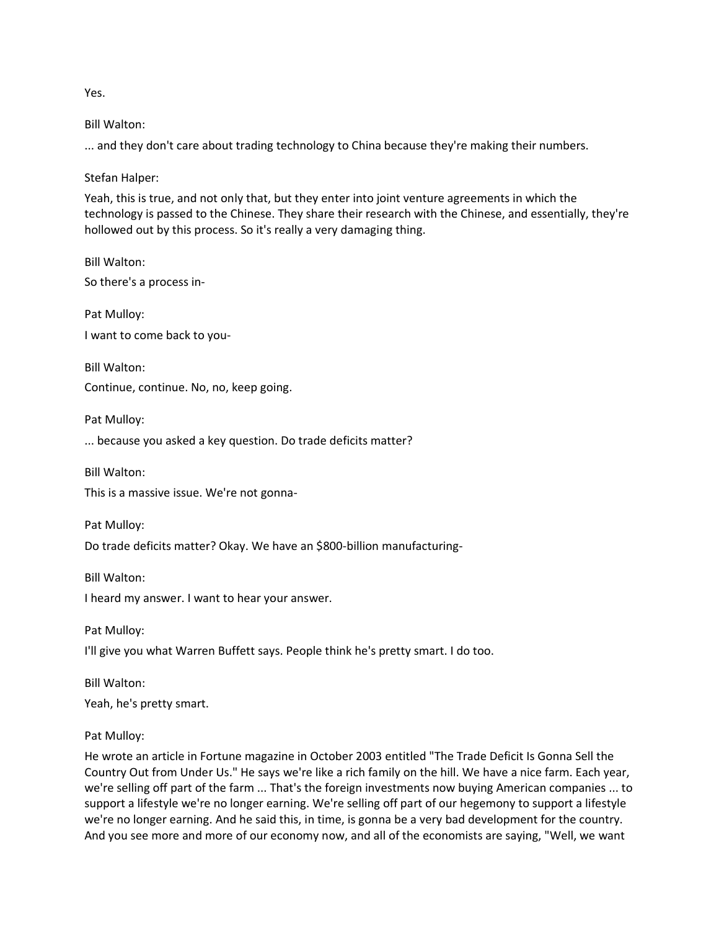Yes.

Bill Walton:

... and they don't care about trading technology to China because they're making their numbers.

Stefan Halper:

Yeah, this is true, and not only that, but they enter into joint venture agreements in which the technology is passed to the Chinese. They share their research with the Chinese, and essentially, they're hollowed out by this process. So it's really a very damaging thing.

Bill Walton: So there's a process in-

Pat Mulloy: I want to come back to you-

Bill Walton: Continue, continue. No, no, keep going.

Pat Mulloy:

... because you asked a key question. Do trade deficits matter?

Bill Walton:

This is a massive issue. We're not gonna-

Pat Mulloy:

Do trade deficits matter? Okay. We have an \$800-billion manufacturing-

Bill Walton: I heard my answer. I want to hear your answer.

Pat Mulloy:

I'll give you what Warren Buffett says. People think he's pretty smart. I do too.

Bill Walton: Yeah, he's pretty smart.

## Pat Mulloy:

He wrote an article in Fortune magazine in October 2003 entitled "The Trade Deficit Is Gonna Sell the Country Out from Under Us." He says we're like a rich family on the hill. We have a nice farm. Each year, we're selling off part of the farm ... That's the foreign investments now buying American companies ... to support a lifestyle we're no longer earning. We're selling off part of our hegemony to support a lifestyle we're no longer earning. And he said this, in time, is gonna be a very bad development for the country. And you see more and more of our economy now, and all of the economists are saying, "Well, we want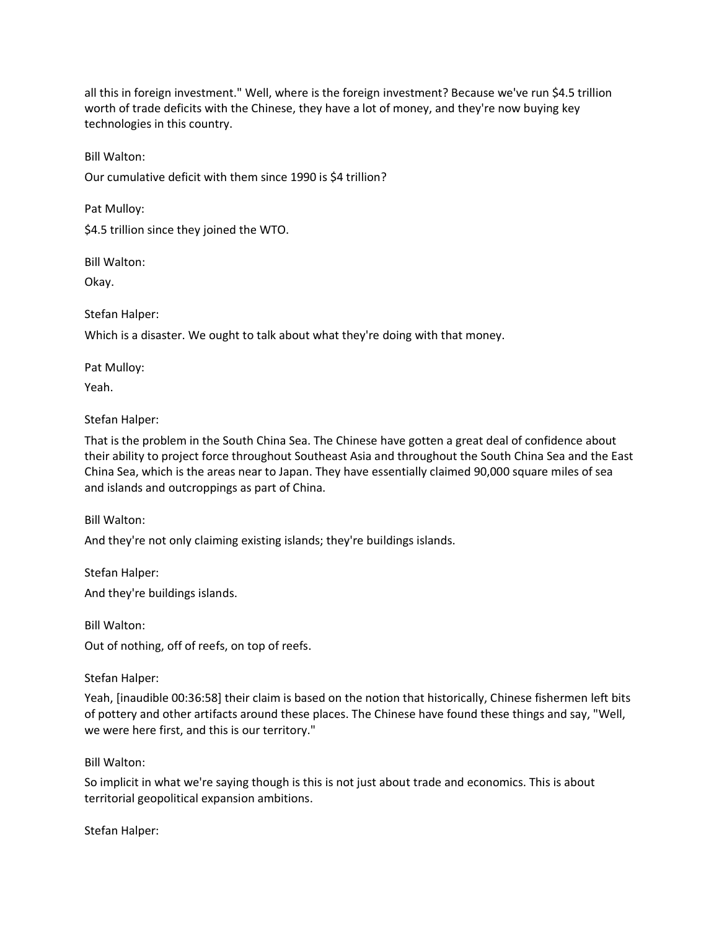all this in foreign investment." Well, where is the foreign investment? Because we've run \$4.5 trillion worth of trade deficits with the Chinese, they have a lot of money, and they're now buying key technologies in this country.

Bill Walton:

Our cumulative deficit with them since 1990 is \$4 trillion?

Pat Mulloy:

\$4.5 trillion since they joined the WTO.

Bill Walton:

Okay.

Stefan Halper:

Which is a disaster. We ought to talk about what they're doing with that money.

Pat Mulloy:

Yeah.

Stefan Halper:

That is the problem in the South China Sea. The Chinese have gotten a great deal of confidence about their ability to project force throughout Southeast Asia and throughout the South China Sea and the East China Sea, which is the areas near to Japan. They have essentially claimed 90,000 square miles of sea and islands and outcroppings as part of China.

Bill Walton:

And they're not only claiming existing islands; they're buildings islands.

Stefan Halper:

And they're buildings islands.

Bill Walton:

Out of nothing, off of reefs, on top of reefs.

Stefan Halper:

Yeah, [inaudible 00:36:58] their claim is based on the notion that historically, Chinese fishermen left bits of pottery and other artifacts around these places. The Chinese have found these things and say, "Well, we were here first, and this is our territory."

Bill Walton:

So implicit in what we're saying though is this is not just about trade and economics. This is about territorial geopolitical expansion ambitions.

Stefan Halper: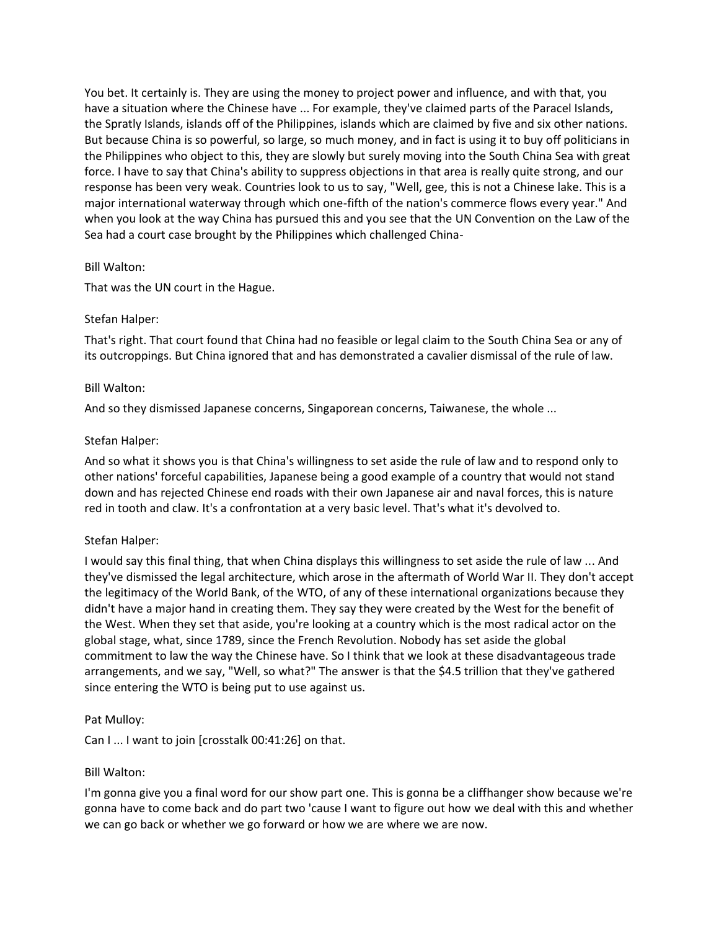You bet. It certainly is. They are using the money to project power and influence, and with that, you have a situation where the Chinese have ... For example, they've claimed parts of the Paracel Islands, the Spratly Islands, islands off of the Philippines, islands which are claimed by five and six other nations. But because China is so powerful, so large, so much money, and in fact is using it to buy off politicians in the Philippines who object to this, they are slowly but surely moving into the South China Sea with great force. I have to say that China's ability to suppress objections in that area is really quite strong, and our response has been very weak. Countries look to us to say, "Well, gee, this is not a Chinese lake. This is a major international waterway through which one-fifth of the nation's commerce flows every year." And when you look at the way China has pursued this and you see that the UN Convention on the Law of the Sea had a court case brought by the Philippines which challenged China-

### Bill Walton:

That was the UN court in the Hague.

### Stefan Halper:

That's right. That court found that China had no feasible or legal claim to the South China Sea or any of its outcroppings. But China ignored that and has demonstrated a cavalier dismissal of the rule of law.

### Bill Walton:

And so they dismissed Japanese concerns, Singaporean concerns, Taiwanese, the whole ...

### Stefan Halper:

And so what it shows you is that China's willingness to set aside the rule of law and to respond only to other nations' forceful capabilities, Japanese being a good example of a country that would not stand down and has rejected Chinese end roads with their own Japanese air and naval forces, this is nature red in tooth and claw. It's a confrontation at a very basic level. That's what it's devolved to.

## Stefan Halper:

I would say this final thing, that when China displays this willingness to set aside the rule of law ... And they've dismissed the legal architecture, which arose in the aftermath of World War II. They don't accept the legitimacy of the World Bank, of the WTO, of any of these international organizations because they didn't have a major hand in creating them. They say they were created by the West for the benefit of the West. When they set that aside, you're looking at a country which is the most radical actor on the global stage, what, since 1789, since the French Revolution. Nobody has set aside the global commitment to law the way the Chinese have. So I think that we look at these disadvantageous trade arrangements, and we say, "Well, so what?" The answer is that the \$4.5 trillion that they've gathered since entering the WTO is being put to use against us.

## Pat Mulloy:

Can I ... I want to join [crosstalk 00:41:26] on that.

#### Bill Walton:

I'm gonna give you a final word for our show part one. This is gonna be a cliffhanger show because we're gonna have to come back and do part two 'cause I want to figure out how we deal with this and whether we can go back or whether we go forward or how we are where we are now.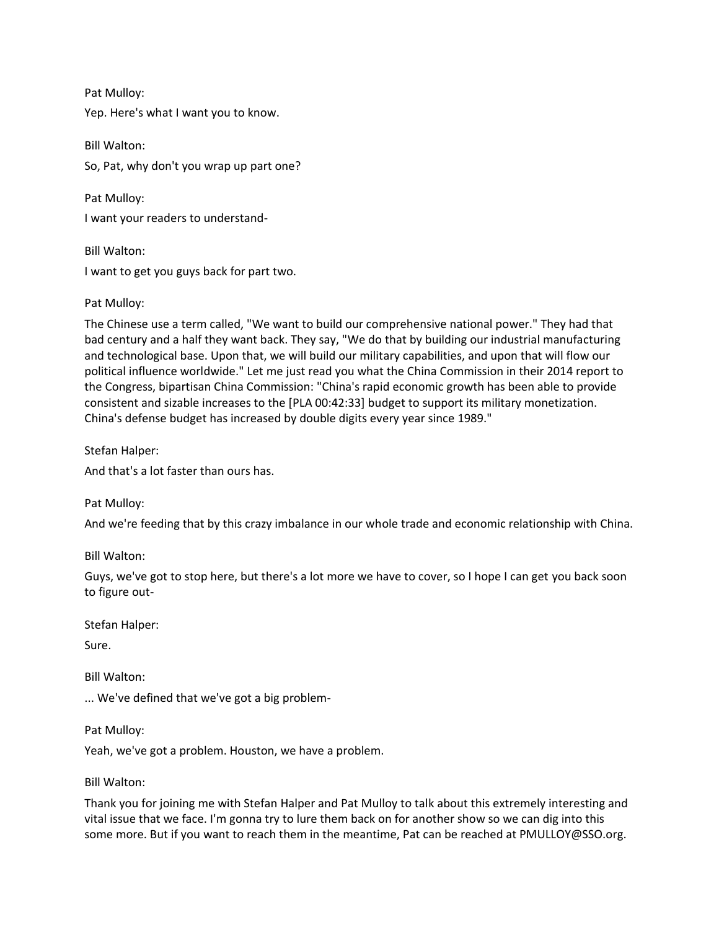Pat Mulloy: Yep. Here's what I want you to know.

Bill Walton: So, Pat, why don't you wrap up part one?

Pat Mulloy: I want your readers to understand-

Bill Walton: I want to get you guys back for part two.

# Pat Mulloy:

The Chinese use a term called, "We want to build our comprehensive national power." They had that bad century and a half they want back. They say, "We do that by building our industrial manufacturing and technological base. Upon that, we will build our military capabilities, and upon that will flow our political influence worldwide." Let me just read you what the China Commission in their 2014 report to the Congress, bipartisan China Commission: "China's rapid economic growth has been able to provide consistent and sizable increases to the [PLA 00:42:33] budget to support its military monetization. China's defense budget has increased by double digits every year since 1989."

Stefan Halper:

And that's a lot faster than ours has.

Pat Mulloy:

And we're feeding that by this crazy imbalance in our whole trade and economic relationship with China.

Bill Walton:

Guys, we've got to stop here, but there's a lot more we have to cover, so I hope I can get you back soon to figure out-

Stefan Halper:

Sure.

Bill Walton:

... We've defined that we've got a big problem-

Pat Mulloy:

Yeah, we've got a problem. Houston, we have a problem.

Bill Walton:

Thank you for joining me with Stefan Halper and Pat Mulloy to talk about this extremely interesting and vital issue that we face. I'm gonna try to lure them back on for another show so we can dig into this some more. But if you want to reach them in the meantime, Pat can be reached at PMULLOY@SSO.org.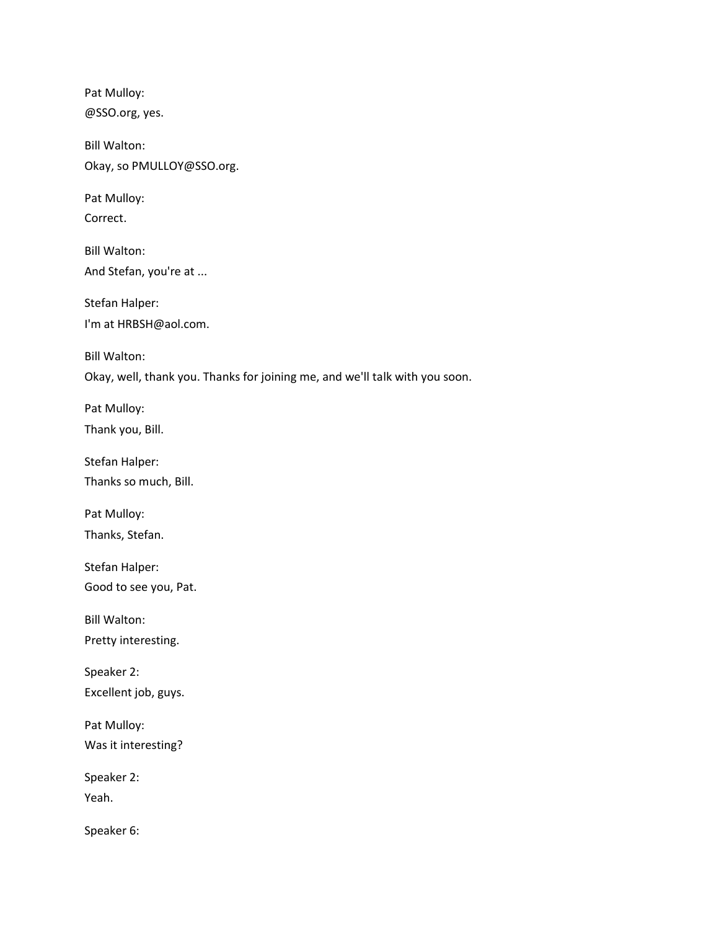Pat Mulloy: @SSO.org, yes.

Bill Walton: Okay, so PMULLOY@SSO.org.

Pat Mulloy: Correct.

Bill Walton: And Stefan, you're at ...

Stefan Halper: I'm at HRBSH@aol.com.

Bill Walton: Okay, well, thank you. Thanks for joining me, and we'll talk with you soon.

Pat Mulloy: Thank you, Bill.

Stefan Halper: Thanks so much, Bill.

Pat Mulloy: Thanks, Stefan.

Stefan Halper: Good to see you, Pat.

Bill Walton:

Pretty interesting.

Speaker 2: Excellent job, guys.

Pat Mulloy: Was it interesting?

Speaker 2: Yeah.

Speaker 6: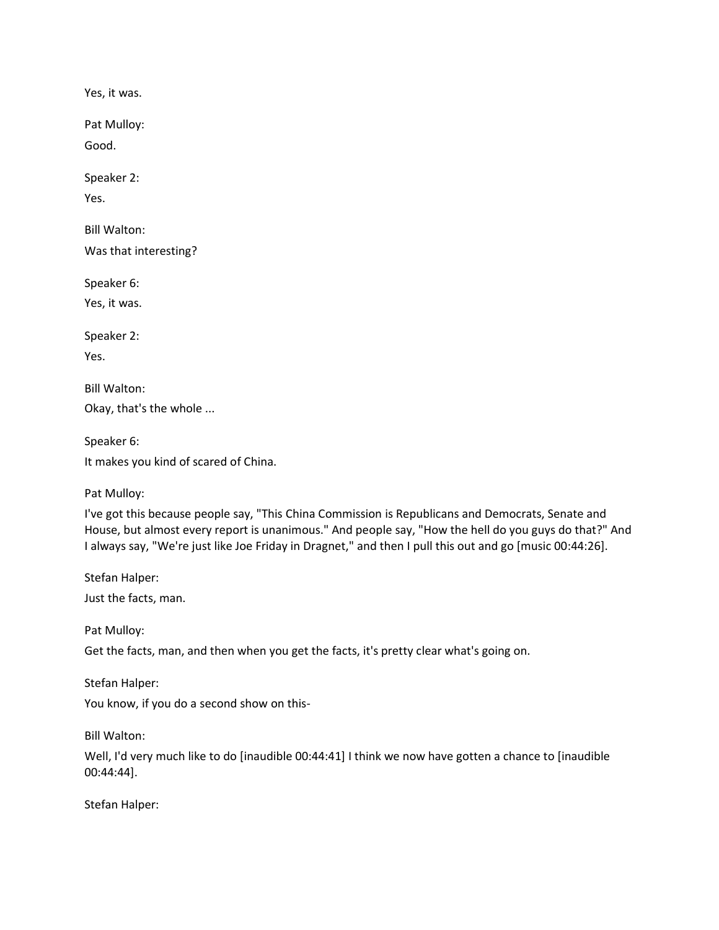Yes, it was.

Pat Mulloy:

Good.

Speaker 2:

Yes.

Bill Walton:

Was that interesting?

Speaker 6:

Yes, it was.

Speaker 2:

Yes.

Bill Walton: Okay, that's the whole ...

Speaker 6:

It makes you kind of scared of China.

Pat Mulloy:

I've got this because people say, "This China Commission is Republicans and Democrats, Senate and House, but almost every report is unanimous." And people say, "How the hell do you guys do that?" And I always say, "We're just like Joe Friday in Dragnet," and then I pull this out and go [music 00:44:26].

Stefan Halper:

Just the facts, man.

Pat Mulloy:

Get the facts, man, and then when you get the facts, it's pretty clear what's going on.

Stefan Halper:

You know, if you do a second show on this-

Bill Walton:

Well, I'd very much like to do [inaudible 00:44:41] I think we now have gotten a chance to [inaudible 00:44:44].

Stefan Halper: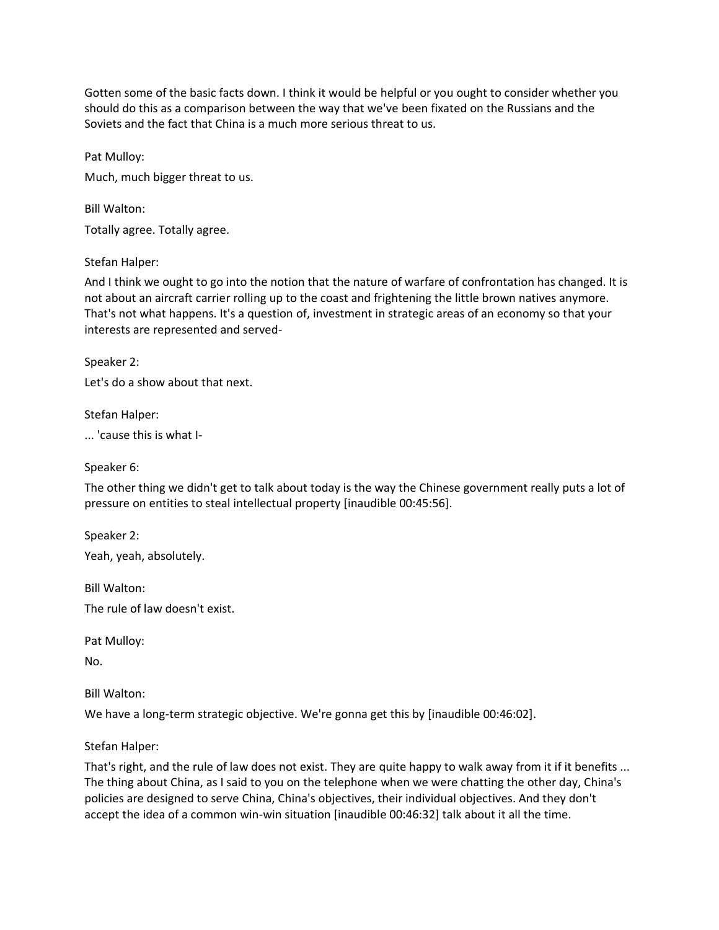Gotten some of the basic facts down. I think it would be helpful or you ought to consider whether you should do this as a comparison between the way that we've been fixated on the Russians and the Soviets and the fact that China is a much more serious threat to us.

Pat Mulloy: Much, much bigger threat to us.

Bill Walton: Totally agree. Totally agree.

# Stefan Halper:

And I think we ought to go into the notion that the nature of warfare of confrontation has changed. It is not about an aircraft carrier rolling up to the coast and frightening the little brown natives anymore. That's not what happens. It's a question of, investment in strategic areas of an economy so that your interests are represented and served-

Speaker 2:

Let's do a show about that next.

Stefan Halper:

... 'cause this is what I-

Speaker 6:

The other thing we didn't get to talk about today is the way the Chinese government really puts a lot of pressure on entities to steal intellectual property [inaudible 00:45:56].

Speaker 2: Yeah, yeah, absolutely.

Bill Walton: The rule of law doesn't exist.

Pat Mulloy:

No.

Bill Walton:

We have a long-term strategic objective. We're gonna get this by [inaudible 00:46:02].

Stefan Halper:

That's right, and the rule of law does not exist. They are quite happy to walk away from it if it benefits ... The thing about China, as I said to you on the telephone when we were chatting the other day, China's policies are designed to serve China, China's objectives, their individual objectives. And they don't accept the idea of a common win-win situation [inaudible 00:46:32] talk about it all the time.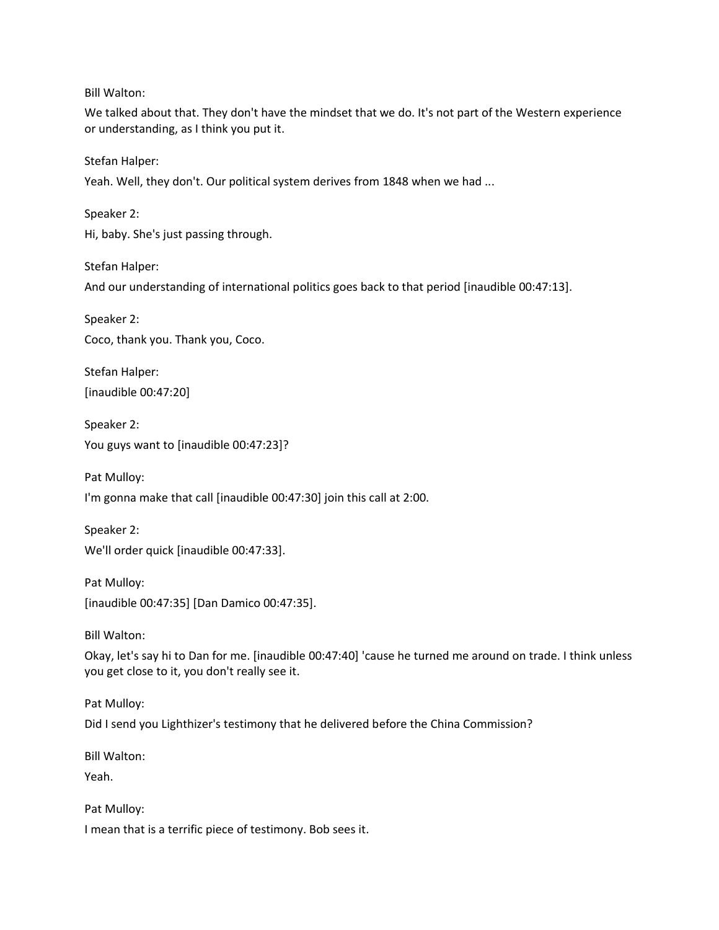Bill Walton:

We talked about that. They don't have the mindset that we do. It's not part of the Western experience or understanding, as I think you put it.

Stefan Halper:

Yeah. Well, they don't. Our political system derives from 1848 when we had ...

Speaker 2:

Hi, baby. She's just passing through.

Stefan Halper:

And our understanding of international politics goes back to that period [inaudible 00:47:13].

Speaker 2: Coco, thank you. Thank you, Coco.

Stefan Halper: [inaudible 00:47:20]

Speaker 2: You guys want to [inaudible 00:47:23]?

Pat Mulloy:

I'm gonna make that call [inaudible 00:47:30] join this call at 2:00.

Speaker 2: We'll order quick [inaudible 00:47:33].

Pat Mulloy: [inaudible 00:47:35] [Dan Damico 00:47:35].

Bill Walton:

Okay, let's say hi to Dan for me. [inaudible 00:47:40] 'cause he turned me around on trade. I think unless you get close to it, you don't really see it.

Pat Mulloy:

Did I send you Lighthizer's testimony that he delivered before the China Commission?

Bill Walton:

Yeah.

Pat Mulloy: I mean that is a terrific piece of testimony. Bob sees it.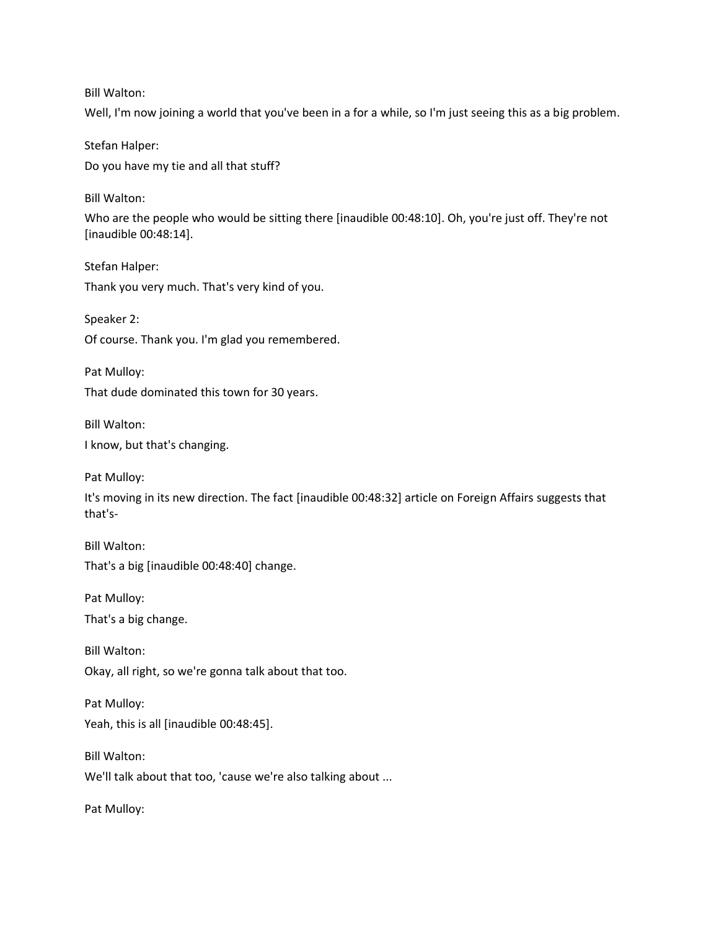Bill Walton:

Well, I'm now joining a world that you've been in a for a while, so I'm just seeing this as a big problem.

Stefan Halper: Do you have my tie and all that stuff?

Bill Walton:

Who are the people who would be sitting there [inaudible 00:48:10]. Oh, you're just off. They're not [inaudible 00:48:14].

Stefan Halper: Thank you very much. That's very kind of you.

Speaker 2: Of course. Thank you. I'm glad you remembered.

Pat Mulloy: That dude dominated this town for 30 years.

Bill Walton: I know, but that's changing.

Pat Mulloy:

It's moving in its new direction. The fact [inaudible 00:48:32] article on Foreign Affairs suggests that that's-

Bill Walton: That's a big [inaudible 00:48:40] change.

Pat Mulloy: That's a big change.

Bill Walton: Okay, all right, so we're gonna talk about that too.

Pat Mulloy: Yeah, this is all [inaudible 00:48:45].

Bill Walton: We'll talk about that too, 'cause we're also talking about ...

Pat Mulloy: